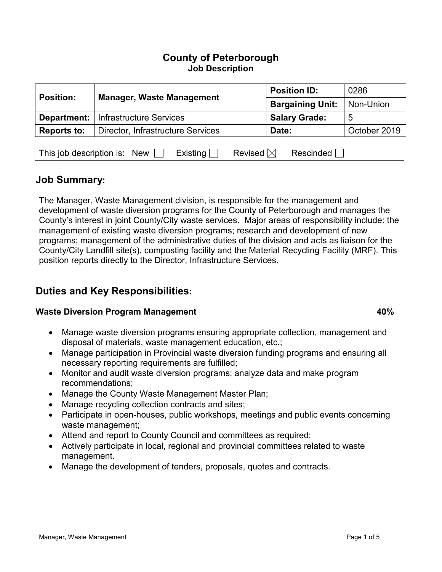| <b>Position:</b>   | <b>Manager, Waste Management</b>             | <b>Position ID:</b>     | 0286         |
|--------------------|----------------------------------------------|-------------------------|--------------|
|                    |                                              | <b>Bargaining Unit:</b> | Non-Union    |
|                    | <b>Department:</b>   Infrastructure Services | <b>Salary Grade:</b>    | 5            |
| <b>Reports to:</b> | Director, Infrastructure Services            | Date:                   | October 2019 |
|                    |                                              |                         |              |

| This job description is: I |  | New $\Box$ Existing $\Box$ Revised $\boxtimes$ Rescinded $\Box$ |  |
|----------------------------|--|-----------------------------------------------------------------|--|

### **Job Summary:**

The Manager, Waste Management division, is responsible for the management and development of waste diversion programs for the County of Peterborough and manages the County's interest in joint County/City waste services. Major areas of responsibility include: the management of existing waste diversion programs; research and development of new programs; management of the administrative duties of the division and acts as liaison for the County/City Landfill site(s), composting facility and the Material Recycling Facility (MRF). This position reports directly to the Director, Infrastructure Services.

## **Duties and Key Responsibilities:**

#### **Waste Diversion Program Management 100% 100%**

- Manage waste diversion programs ensuring appropriate collection, management and disposal of materials, waste management education, etc.;
- Manage participation in Provincial waste diversion funding programs and ensuring all necessary reporting requirements are fulfilled;
- Monitor and audit waste diversion programs; analyze data and make program recommendations;
- Manage the County Waste Management Master Plan;
- Manage recycling collection contracts and sites;
- Participate in open-houses, public workshops, meetings and public events concerning waste management;
- Attend and report to County Council and committees as required;
- Actively participate in local, regional and provincial committees related to waste management.
- Manage the development of tenders, proposals, quotes and contracts.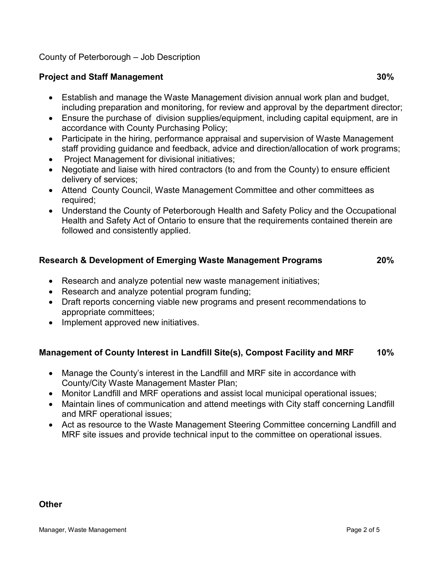#### **Project and Staff Management 30%**

- Establish and manage the Waste Management division annual work plan and budget, including preparation and monitoring, for review and approval by the department director;
- Ensure the purchase of division supplies/equipment, including capital equipment, are in accordance with County Purchasing Policy;
- Participate in the hiring, performance appraisal and supervision of Waste Management staff providing guidance and feedback, advice and direction/allocation of work programs;
- Project Management for divisional initiatives;
- Negotiate and liaise with hired contractors (to and from the County) to ensure efficient delivery of services;
- Attend County Council, Waste Management Committee and other committees as required;
- Understand the County of Peterborough Health and Safety Policy and the Occupational Health and Safety Act of Ontario to ensure that the requirements contained therein are followed and consistently applied.

#### **Research & Development of Emerging Waste Management Programs 20%**

- Research and analyze potential new waste management initiatives;
- Research and analyze potential program funding;
- Draft reports concerning viable new programs and present recommendations to appropriate committees;
- Implement approved new initiatives.

#### **Management of County Interest in Landfill Site(s), Compost Facility and MRF 10%**

- Manage the County's interest in the Landfill and MRF site in accordance with County/City Waste Management Master Plan;
- Monitor Landfill and MRF operations and assist local municipal operational issues;
- Maintain lines of communication and attend meetings with City staff concerning Landfill and MRF operational issues;
- Act as resource to the Waste Management Steering Committee concerning Landfill and MRF site issues and provide technical input to the committee on operational issues.

### **Other**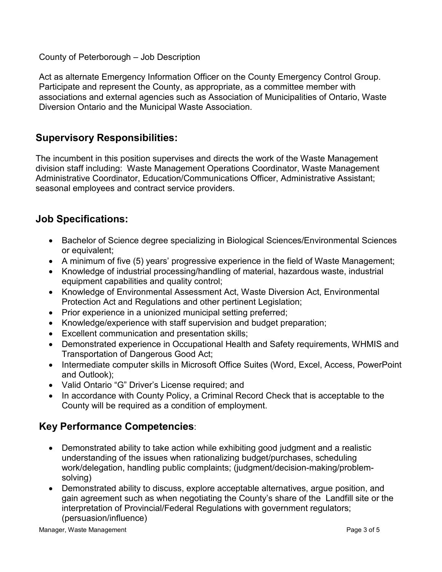Act as alternate Emergency Information Officer on the County Emergency Control Group. Participate and represent the County, as appropriate, as a committee member with associations and external agencies such as Association of Municipalities of Ontario, Waste Diversion Ontario and the Municipal Waste Association.

## **Supervisory Responsibilities:**

The incumbent in this position supervises and directs the work of the Waste Management division staff including: Waste Management Operations Coordinator, Waste Management Administrative Coordinator, Education/Communications Officer, Administrative Assistant; seasonal employees and contract service providers.

### **Job Specifications:**

- Bachelor of Science degree specializing in Biological Sciences/Environmental Sciences or equivalent;
- A minimum of five (5) years' progressive experience in the field of Waste Management;
- Knowledge of industrial processing/handling of material, hazardous waste, industrial equipment capabilities and quality control;
- Knowledge of Environmental Assessment Act, Waste Diversion Act, Environmental Protection Act and Regulations and other pertinent Legislation;
- Prior experience in a unionized municipal setting preferred;
- Knowledge/experience with staff supervision and budget preparation;
- Excellent communication and presentation skills;
- Demonstrated experience in Occupational Health and Safety requirements, WHMIS and Transportation of Dangerous Good Act;
- Intermediate computer skills in Microsoft Office Suites (Word, Excel, Access, PowerPoint and Outlook);
- Valid Ontario "G" Driver's License required; and
- In accordance with County Policy, a Criminal Record Check that is acceptable to the County will be required as a condition of employment.

# **Key Performance Competencies**:

- Demonstrated ability to take action while exhibiting good judgment and a realistic understanding of the issues when rationalizing budget/purchases, scheduling work/delegation, handling public complaints; (judgment/decision-making/problemsolving)
- Demonstrated ability to discuss, explore acceptable alternatives, argue position, and gain agreement such as when negotiating the County's share of the Landfill site or the interpretation of Provincial/Federal Regulations with government regulators; (persuasion/influence)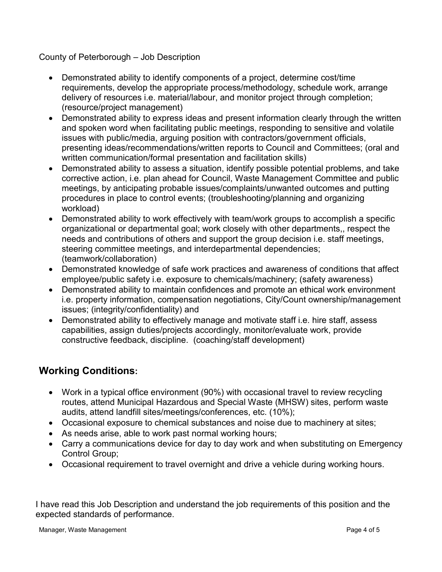- Demonstrated ability to identify components of a project, determine cost/time requirements, develop the appropriate process/methodology, schedule work, arrange delivery of resources i.e. material/labour, and monitor project through completion; (resource/project management)
- Demonstrated ability to express ideas and present information clearly through the written and spoken word when facilitating public meetings, responding to sensitive and volatile issues with public/media, arguing position with contractors/government officials, presenting ideas/recommendations/written reports to Council and Committees; (oral and written communication/formal presentation and facilitation skills)
- Demonstrated ability to assess a situation, identify possible potential problems, and take corrective action, i.e. plan ahead for Council, Waste Management Committee and public meetings, by anticipating probable issues/complaints/unwanted outcomes and putting procedures in place to control events; (troubleshooting/planning and organizing workload)
- Demonstrated ability to work effectively with team/work groups to accomplish a specific organizational or departmental goal; work closely with other departments,, respect the needs and contributions of others and support the group decision i.e. staff meetings, steering committee meetings, and interdepartmental dependencies; (teamwork/collaboration)
- Demonstrated knowledge of safe work practices and awareness of conditions that affect employee/public safety i.e. exposure to chemicals/machinery; (safety awareness)
- Demonstrated ability to maintain confidences and promote an ethical work environment i.e. property information, compensation negotiations, City/Count ownership/management issues; (integrity/confidentiality) and
- Demonstrated ability to effectively manage and motivate staff i.e. hire staff, assess capabilities, assign duties/projects accordingly, monitor/evaluate work, provide constructive feedback, discipline. (coaching/staff development)

# **Working Conditions:**

- Work in a typical office environment (90%) with occasional travel to review recycling routes, attend Municipal Hazardous and Special Waste (MHSW) sites, perform waste audits, attend landfill sites/meetings/conferences, etc. (10%);
- Occasional exposure to chemical substances and noise due to machinery at sites;
- As needs arise, able to work past normal working hours;
- Carry a communications device for day to day work and when substituting on Emergency Control Group;
- Occasional requirement to travel overnight and drive a vehicle during working hours.

I have read this Job Description and understand the job requirements of this position and the expected standards of performance.